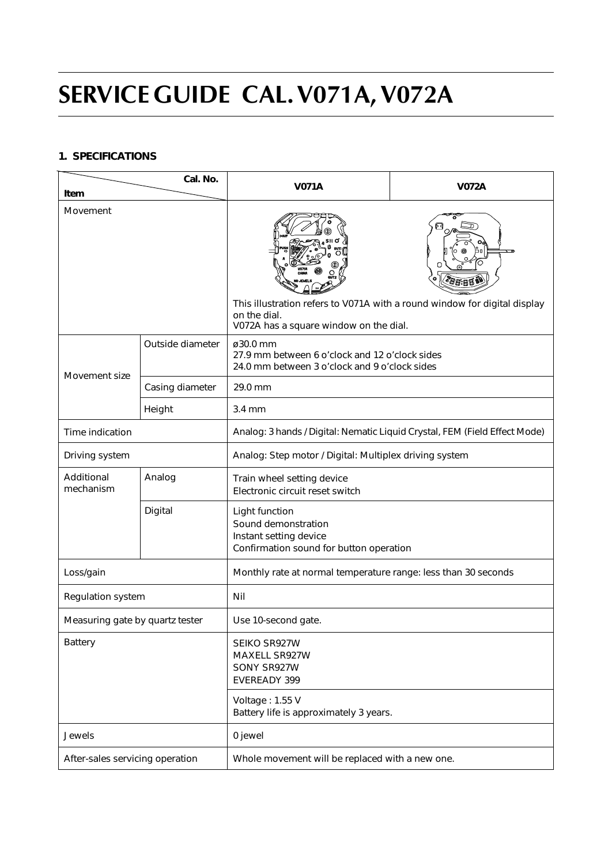# **SERVICE GUIDE CAL. V071A, V072A**

## **1. SPECIFICATIONS**

| Cal. No.<br>Item                |                  | <b>V071A</b>                                                                                                                        | <b>V072A</b> |  |
|---------------------------------|------------------|-------------------------------------------------------------------------------------------------------------------------------------|--------------|--|
| Movement                        |                  | This illustration refers to V071A with a round window for digital display<br>on the dial.<br>V072A has a square window on the dial. |              |  |
|                                 | Outside diameter | ø30.0 mm<br>27.9 mm between 6 o'clock and 12 o'clock sides<br>24.0 mm between 3 o'clock and 9 o'clock sides                         |              |  |
| Movement size                   | Casing diameter  | 29.0 mm                                                                                                                             |              |  |
|                                 | Height           | $3.4 \text{ mm}$                                                                                                                    |              |  |
| Time indication                 |                  | Analog: 3 hands / Digital: Nematic Liquid Crystal, FEM (Field Effect Mode)                                                          |              |  |
| Driving system                  |                  | Analog: Step motor / Digital: Multiplex driving system                                                                              |              |  |
| Additional<br>mechanism         |                  |                                                                                                                                     |              |  |
|                                 | Digital          | Light function<br>Sound demonstration<br>Instant setting device<br>Confirmation sound for button operation                          |              |  |
| Loss/gain                       |                  | Monthly rate at normal temperature range: less than 30 seconds                                                                      |              |  |
| Regulation system               |                  | Nil                                                                                                                                 |              |  |
| Measuring gate by quartz tester |                  | Use 10-second gate.                                                                                                                 |              |  |
| Battery                         |                  | SEIKO SR927W<br>MAXELL SR927W<br>SONY SR927W<br><b>EVEREADY 399</b>                                                                 |              |  |
|                                 |                  | Voltage: 1.55 V<br>Battery life is approximately 3 years.                                                                           |              |  |
| Jewels                          |                  | 0 jewel                                                                                                                             |              |  |
| After-sales servicing operation |                  | Whole movement will be replaced with a new one.                                                                                     |              |  |